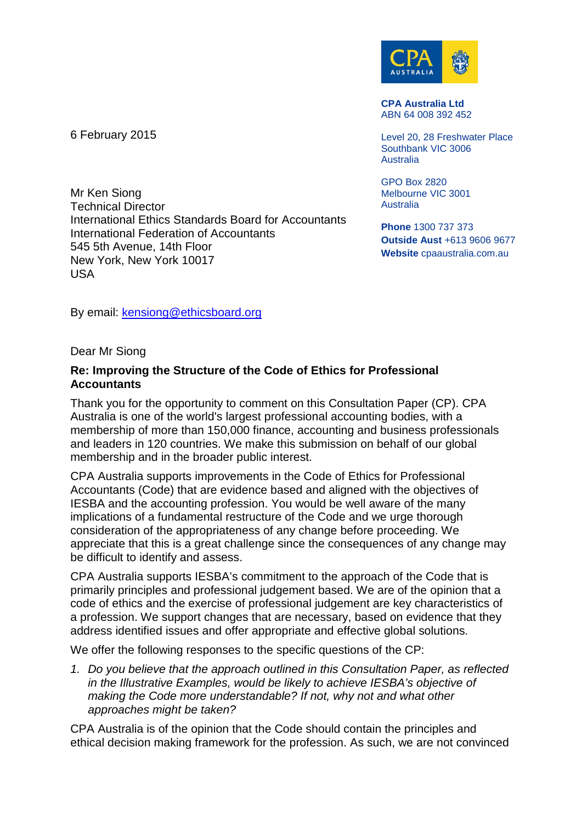6 February 2015

Mr Ken Siong Technical Director International Ethics Standards Board for Accountants International Federation of Accountants 545 5th Avenue, 14th Floor New York, New York 10017 USA



**CPA Australia Ltd** ABN 64 008 392 452

Level 20, 28 Freshwater Place Southbank VIC 3006 Australia

GPO Box 2820 Melbourne VIC 3001 **Australia** 

**Phone** 1300 737 373 **Outside Aust** +613 9606 9677 **Website** cpaaustralia.com.au

By email: [kensiong@ethicsboard.org](mailto:kensiong@ethicsboard.org)

Dear Mr Siong

## **Re: Improving the Structure of the Code of Ethics for Professional Accountants**

Thank you for the opportunity to comment on this Consultation Paper (CP). CPA Australia is one of the world's largest professional accounting bodies, with a membership of more than 150,000 finance, accounting and business professionals and leaders in 120 countries. We make this submission on behalf of our global membership and in the broader public interest.

CPA Australia supports improvements in the Code of Ethics for Professional Accountants (Code) that are evidence based and aligned with the objectives of IESBA and the accounting profession. You would be well aware of the many implications of a fundamental restructure of the Code and we urge thorough consideration of the appropriateness of any change before proceeding. We appreciate that this is a great challenge since the consequences of any change may be difficult to identify and assess.

CPA Australia supports IESBA's commitment to the approach of the Code that is primarily principles and professional judgement based. We are of the opinion that a code of ethics and the exercise of professional judgement are key characteristics of a profession. We support changes that are necessary, based on evidence that they address identified issues and offer appropriate and effective global solutions.

We offer the following responses to the specific questions of the CP:

*1. Do you believe that the approach outlined in this Consultation Paper, as reflected in the Illustrative Examples, would be likely to achieve IESBA's objective of making the Code more understandable? If not, why not and what other approaches might be taken?*

CPA Australia is of the opinion that the Code should contain the principles and ethical decision making framework for the profession. As such, we are not convinced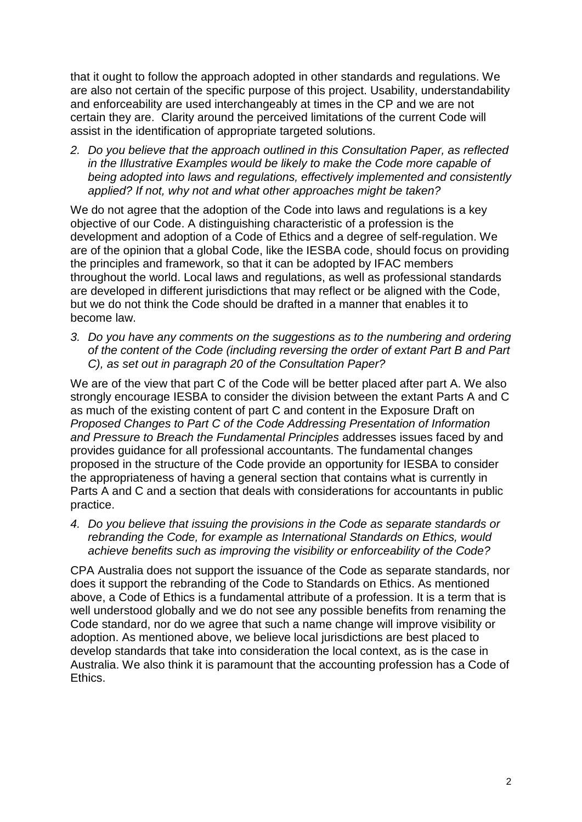that it ought to follow the approach adopted in other standards and regulations. We are also not certain of the specific purpose of this project. Usability, understandability and enforceability are used interchangeably at times in the CP and we are not certain they are. Clarity around the perceived limitations of the current Code will assist in the identification of appropriate targeted solutions.

*2. Do you believe that the approach outlined in this Consultation Paper, as reflected in the Illustrative Examples would be likely to make the Code more capable of being adopted into laws and regulations, effectively implemented and consistently applied? If not, why not and what other approaches might be taken?*

We do not agree that the adoption of the Code into laws and regulations is a key objective of our Code. A distinguishing characteristic of a profession is the development and adoption of a Code of Ethics and a degree of self-regulation. We are of the opinion that a global Code, like the IESBA code, should focus on providing the principles and framework, so that it can be adopted by IFAC members throughout the world. Local laws and regulations, as well as professional standards are developed in different jurisdictions that may reflect or be aligned with the Code, but we do not think the Code should be drafted in a manner that enables it to become law.

*3. Do you have any comments on the suggestions as to the numbering and ordering of the content of the Code (including reversing the order of extant Part B and Part C), as set out in paragraph 20 of the Consultation Paper?*

We are of the view that part C of the Code will be better placed after part A. We also strongly encourage IESBA to consider the division between the extant Parts A and C as much of the existing content of part C and content in the Exposure Draft on *Proposed Changes to Part C of the Code Addressing Presentation of Information and Pressure to Breach the Fundamental Principles* addresses issues faced by and provides guidance for all professional accountants. The fundamental changes proposed in the structure of the Code provide an opportunity for IESBA to consider the appropriateness of having a general section that contains what is currently in Parts A and C and a section that deals with considerations for accountants in public practice.

*4. Do you believe that issuing the provisions in the Code as separate standards or rebranding the Code, for example as International Standards on Ethics, would achieve benefits such as improving the visibility or enforceability of the Code?*

CPA Australia does not support the issuance of the Code as separate standards, nor does it support the rebranding of the Code to Standards on Ethics. As mentioned above, a Code of Ethics is a fundamental attribute of a profession. It is a term that is well understood globally and we do not see any possible benefits from renaming the Code standard, nor do we agree that such a name change will improve visibility or adoption. As mentioned above, we believe local jurisdictions are best placed to develop standards that take into consideration the local context, as is the case in Australia. We also think it is paramount that the accounting profession has a Code of Ethics.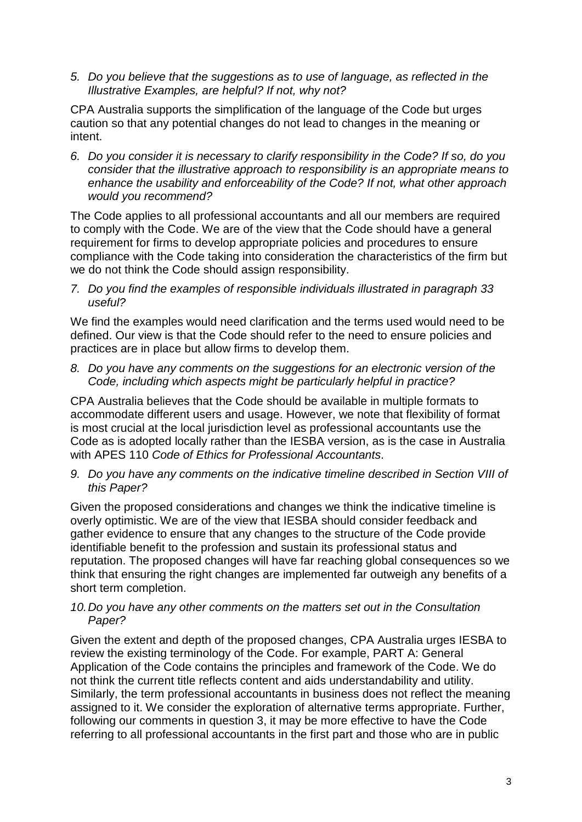*5. Do you believe that the suggestions as to use of language, as reflected in the Illustrative Examples, are helpful? If not, why not?*

CPA Australia supports the simplification of the language of the Code but urges caution so that any potential changes do not lead to changes in the meaning or intent.

*6. Do you consider it is necessary to clarify responsibility in the Code? If so, do you consider that the illustrative approach to responsibility is an appropriate means to enhance the usability and enforceability of the Code? If not, what other approach would you recommend?*

The Code applies to all professional accountants and all our members are required to comply with the Code. We are of the view that the Code should have a general requirement for firms to develop appropriate policies and procedures to ensure compliance with the Code taking into consideration the characteristics of the firm but we do not think the Code should assign responsibility.

*7. Do you find the examples of responsible individuals illustrated in paragraph 33 useful?*

We find the examples would need clarification and the terms used would need to be defined. Our view is that the Code should refer to the need to ensure policies and practices are in place but allow firms to develop them.

*8. Do you have any comments on the suggestions for an electronic version of the Code, including which aspects might be particularly helpful in practice?*

CPA Australia believes that the Code should be available in multiple formats to accommodate different users and usage. However, we note that flexibility of format is most crucial at the local jurisdiction level as professional accountants use the Code as is adopted locally rather than the IESBA version, as is the case in Australia with APES 110 *Code of Ethics for Professional Accountants*.

*9. Do you have any comments on the indicative timeline described in Section VIII of this Paper?*

Given the proposed considerations and changes we think the indicative timeline is overly optimistic. We are of the view that IESBA should consider feedback and gather evidence to ensure that any changes to the structure of the Code provide identifiable benefit to the profession and sustain its professional status and reputation. The proposed changes will have far reaching global consequences so we think that ensuring the right changes are implemented far outweigh any benefits of a short term completion.

## *10.Do you have any other comments on the matters set out in the Consultation Paper?*

Given the extent and depth of the proposed changes, CPA Australia urges IESBA to review the existing terminology of the Code. For example, PART A: General Application of the Code contains the principles and framework of the Code. We do not think the current title reflects content and aids understandability and utility. Similarly, the term professional accountants in business does not reflect the meaning assigned to it. We consider the exploration of alternative terms appropriate. Further, following our comments in question 3, it may be more effective to have the Code referring to all professional accountants in the first part and those who are in public